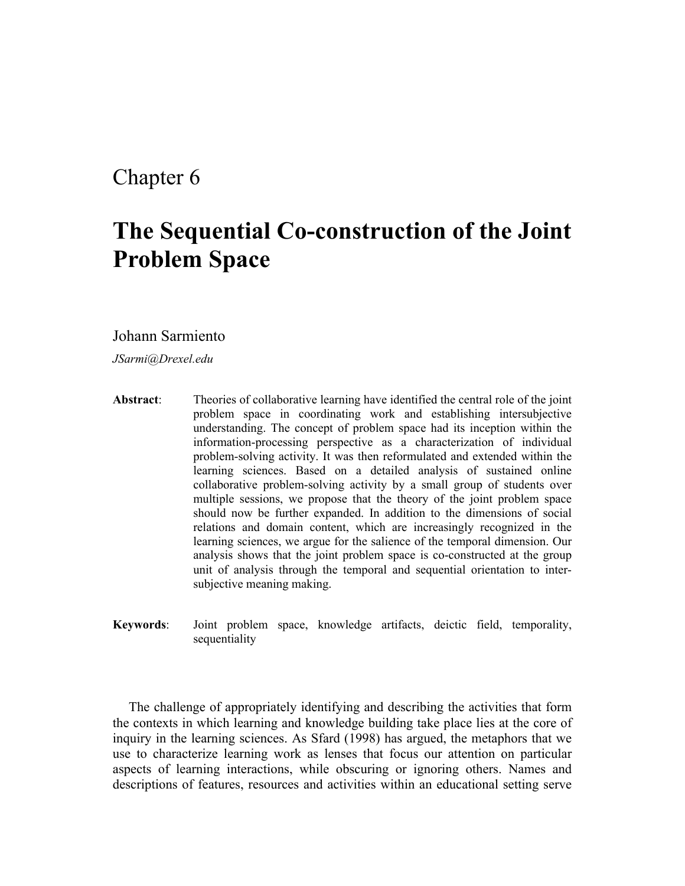## Chapter 6

# **The Sequential Co-construction of the Joint Problem Space**

#### Johann Sarmiento

*JSarmi@Drexel.edu*

- **Abstract**: Theories of collaborative learning have identified the central role of the joint problem space in coordinating work and establishing intersubjective understanding. The concept of problem space had its inception within the information-processing perspective as a characterization of individual problem-solving activity. It was then reformulated and extended within the learning sciences. Based on a detailed analysis of sustained online collaborative problem-solving activity by a small group of students over multiple sessions, we propose that the theory of the joint problem space should now be further expanded. In addition to the dimensions of social relations and domain content, which are increasingly recognized in the learning sciences, we argue for the salience of the temporal dimension. Our analysis shows that the joint problem space is co-constructed at the group unit of analysis through the temporal and sequential orientation to intersubjective meaning making.
- **Keywords**: Joint problem space, knowledge artifacts, deictic field, temporality, sequentiality

The challenge of appropriately identifying and describing the activities that form the contexts in which learning and knowledge building take place lies at the core of inquiry in the learning sciences. As Sfard (1998) has argued, the metaphors that we use to characterize learning work as lenses that focus our attention on particular aspects of learning interactions, while obscuring or ignoring others. Names and descriptions of features, resources and activities within an educational setting serve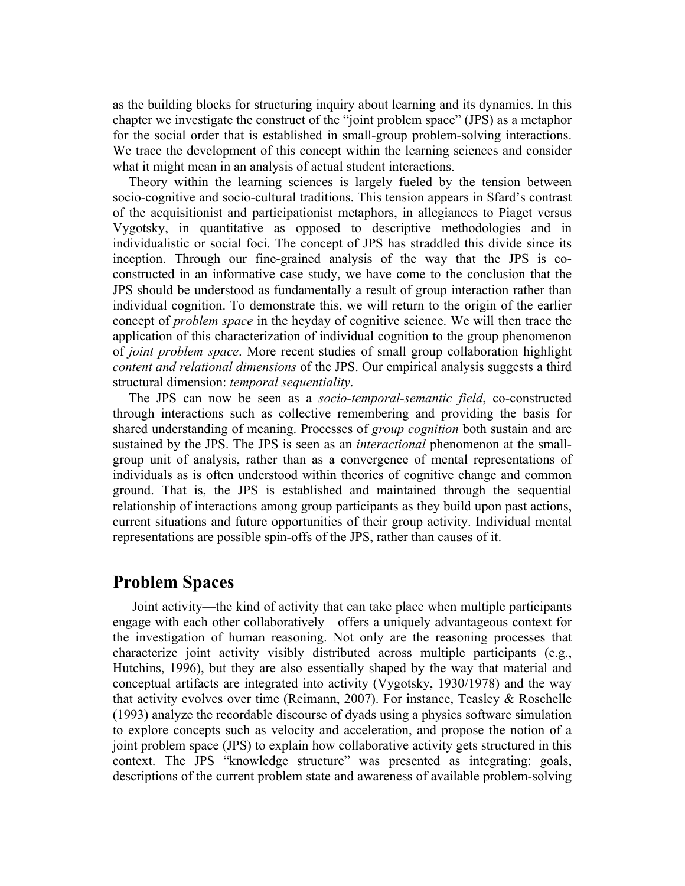as the building blocks for structuring inquiry about learning and its dynamics. In this chapter we investigate the construct of the "joint problem space" (JPS) as a metaphor for the social order that is established in small-group problem-solving interactions. We trace the development of this concept within the learning sciences and consider what it might mean in an analysis of actual student interactions.

Theory within the learning sciences is largely fueled by the tension between socio-cognitive and socio-cultural traditions. This tension appears in Sfard's contrast of the acquisitionist and participationist metaphors, in allegiances to Piaget versus Vygotsky, in quantitative as opposed to descriptive methodologies and in individualistic or social foci. The concept of JPS has straddled this divide since its inception. Through our fine-grained analysis of the way that the JPS is coconstructed in an informative case study, we have come to the conclusion that the JPS should be understood as fundamentally a result of group interaction rather than individual cognition. To demonstrate this, we will return to the origin of the earlier concept of *problem space* in the heyday of cognitive science. We will then trace the application of this characterization of individual cognition to the group phenomenon of *joint problem space*. More recent studies of small group collaboration highlight *content and relational dimensions* of the JPS. Our empirical analysis suggests a third structural dimension: *temporal sequentiality*.

The JPS can now be seen as a *socio-temporal-semantic field*, co-constructed through interactions such as collective remembering and providing the basis for shared understanding of meaning. Processes of *group cognition* both sustain and are sustained by the JPS. The JPS is seen as an *interactional* phenomenon at the smallgroup unit of analysis, rather than as a convergence of mental representations of individuals as is often understood within theories of cognitive change and common ground. That is, the JPS is established and maintained through the sequential relationship of interactions among group participants as they build upon past actions, current situations and future opportunities of their group activity. Individual mental representations are possible spin-offs of the JPS, rather than causes of it.

#### **Problem Spaces**

 Joint activity—the kind of activity that can take place when multiple participants engage with each other collaboratively—offers a uniquely advantageous context for the investigation of human reasoning. Not only are the reasoning processes that characterize joint activity visibly distributed across multiple participants (e.g., Hutchins, 1996), but they are also essentially shaped by the way that material and conceptual artifacts are integrated into activity (Vygotsky, 1930/1978) and the way that activity evolves over time (Reimann, 2007). For instance, Teasley & Roschelle (1993) analyze the recordable discourse of dyads using a physics software simulation to explore concepts such as velocity and acceleration, and propose the notion of a joint problem space (JPS) to explain how collaborative activity gets structured in this context. The JPS "knowledge structure" was presented as integrating: goals, descriptions of the current problem state and awareness of available problem-solving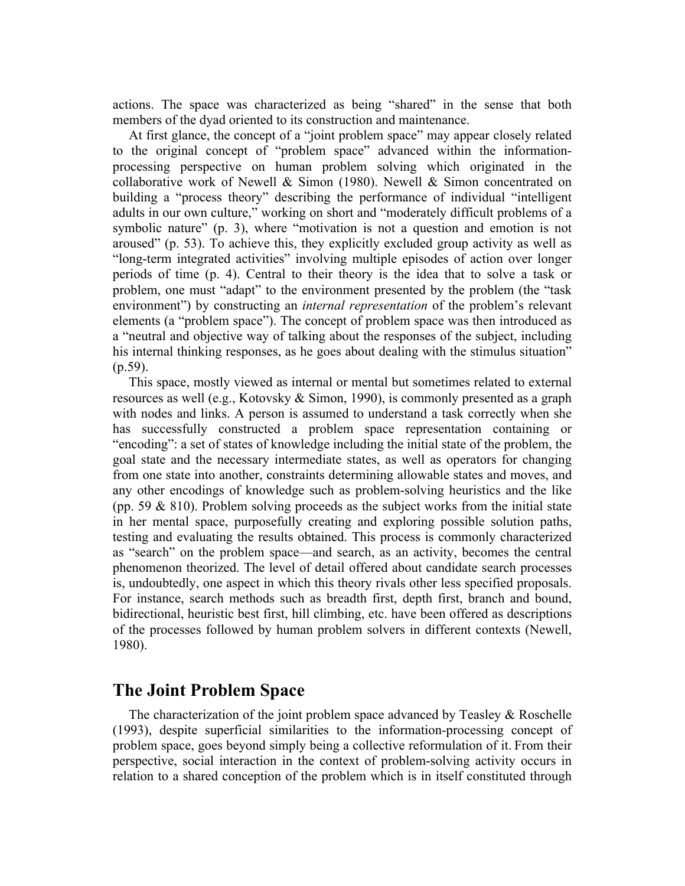actions. The space was characterized as being "shared" in the sense that both members of the dyad oriented to its construction and maintenance.

At first glance, the concept of a "joint problem space" may appear closely related to the original concept of "problem space" advanced within the informationprocessing perspective on human problem solving which originated in the collaborative work of Newell  $\&$  Simon (1980). Newell  $\&$  Simon concentrated on building a "process theory" describing the performance of individual "intelligent adults in our own culture," working on short and "moderately difficult problems of a symbolic nature" (p. 3), where "motivation is not a question and emotion is not aroused" (p. 53). To achieve this, they explicitly excluded group activity as well as "long-term integrated activities" involving multiple episodes of action over longer periods of time (p. 4). Central to their theory is the idea that to solve a task or problem, one must "adapt" to the environment presented by the problem (the "task environment") by constructing an *internal representation* of the problem's relevant elements (a "problem space"). The concept of problem space was then introduced as a "neutral and objective way of talking about the responses of the subject, including his internal thinking responses, as he goes about dealing with the stimulus situation"  $(p.59)$ .

This space, mostly viewed as internal or mental but sometimes related to external resources as well (e.g., Kotovsky & Simon, 1990), is commonly presented as a graph with nodes and links. A person is assumed to understand a task correctly when she has successfully constructed a problem space representation containing or "encoding": a set of states of knowledge including the initial state of the problem, the goal state and the necessary intermediate states, as well as operators for changing from one state into another, constraints determining allowable states and moves, and any other encodings of knowledge such as problem-solving heuristics and the like (pp. 59  $\&$  810). Problem solving proceeds as the subject works from the initial state in her mental space, purposefully creating and exploring possible solution paths, testing and evaluating the results obtained. This process is commonly characterized as "search" on the problem space—and search, as an activity, becomes the central phenomenon theorized. The level of detail offered about candidate search processes is, undoubtedly, one aspect in which this theory rivals other less specified proposals. For instance, search methods such as breadth first, depth first, branch and bound, bidirectional, heuristic best first, hill climbing, etc. have been offered as descriptions of the processes followed by human problem solvers in different contexts (Newell, 1980).

#### **The Joint Problem Space**

The characterization of the joint problem space advanced by Teasley & Roschelle (1993), despite superficial similarities to the information-processing concept of problem space, goes beyond simply being a collective reformulation of it. From their perspective, social interaction in the context of problem-solving activity occurs in relation to a shared conception of the problem which is in itself constituted through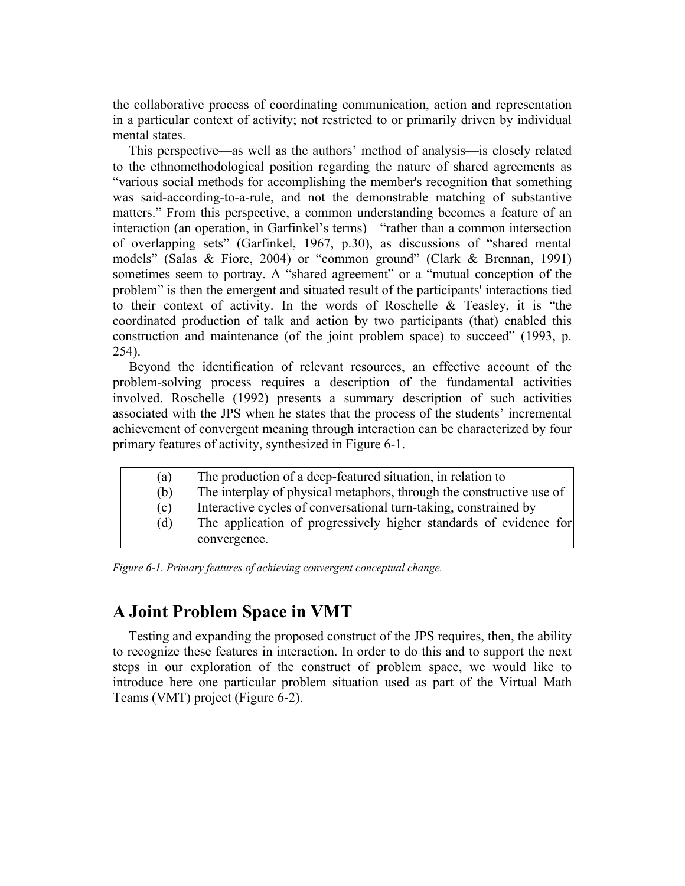the collaborative process of coordinating communication, action and representation in a particular context of activity; not restricted to or primarily driven by individual mental states.

This perspective—as well as the authors' method of analysis—is closely related to the ethnomethodological position regarding the nature of shared agreements as "various social methods for accomplishing the member's recognition that something was said-according-to-a-rule, and not the demonstrable matching of substantive matters." From this perspective, a common understanding becomes a feature of an interaction (an operation, in Garfinkel's terms)—"rather than a common intersection of overlapping sets" (Garfinkel, 1967, p.30), as discussions of "shared mental models" (Salas & Fiore, 2004) or "common ground" (Clark & Brennan, 1991) sometimes seem to portray. A "shared agreement" or a "mutual conception of the problem" is then the emergent and situated result of the participants' interactions tied to their context of activity. In the words of Roschelle & Teasley, it is "the coordinated production of talk and action by two participants (that) enabled this construction and maintenance (of the joint problem space) to succeed" (1993, p. 254).

Beyond the identification of relevant resources, an effective account of the problem-solving process requires a description of the fundamental activities involved. Roschelle (1992) presents a summary description of such activities associated with the JPS when he states that the process of the students' incremental achievement of convergent meaning through interaction can be characterized by four primary features of activity, synthesized in Figure 6-1.

- (a) The production of a deep-featured situation, in relation to
- (b) The interplay of physical metaphors, through the constructive use of
- (c) Interactive cycles of conversational turn-taking, constrained by
- (d) The application of progressively higher standards of evidence for convergence.

*Figure 6-1. Primary features of achieving convergent conceptual change.*

#### **A Joint Problem Space in VMT**

Testing and expanding the proposed construct of the JPS requires, then, the ability to recognize these features in interaction. In order to do this and to support the next steps in our exploration of the construct of problem space, we would like to introduce here one particular problem situation used as part of the Virtual Math Teams (VMT) project (Figure 6-2).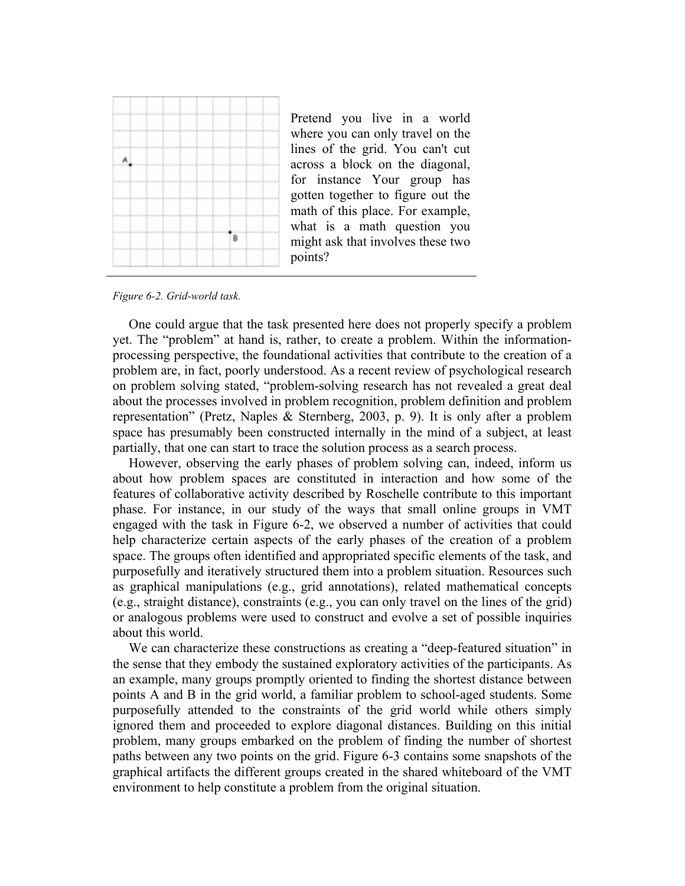

Pretend you live in a world where you can only travel on the lines of the grid. You can't cut across a block on the diagonal, for instance Your group has gotten together to figure out the math of this place. For example, what is a math question you might ask that involves these two points?

*Figure 6-2. Grid-world task.*

One could argue that the task presented here does not properly specify a problem yet. The "problem" at hand is, rather, to create a problem. Within the informationprocessing perspective, the foundational activities that contribute to the creation of a problem are, in fact, poorly understood. As a recent review of psychological research on problem solving stated, "problem-solving research has not revealed a great deal about the processes involved in problem recognition, problem definition and problem representation" (Pretz, Naples & Sternberg, 2003, p. 9). It is only after a problem space has presumably been constructed internally in the mind of a subject, at least partially, that one can start to trace the solution process as a search process.

However, observing the early phases of problem solving can, indeed, inform us about how problem spaces are constituted in interaction and how some of the features of collaborative activity described by Roschelle contribute to this important phase. For instance, in our study of the ways that small online groups in VMT engaged with the task in Figure 6-2, we observed a number of activities that could help characterize certain aspects of the early phases of the creation of a problem space. The groups often identified and appropriated specific elements of the task, and purposefully and iteratively structured them into a problem situation. Resources such as graphical manipulations (e.g., grid annotations), related mathematical concepts (e.g., straight distance), constraints (e.g., you can only travel on the lines of the grid) or analogous problems were used to construct and evolve a set of possible inquiries about this world.

We can characterize these constructions as creating a "deep-featured situation" in the sense that they embody the sustained exploratory activities of the participants. As an example, many groups promptly oriented to finding the shortest distance between points A and B in the grid world, a familiar problem to school-aged students. Some purposefully attended to the constraints of the grid world while others simply ignored them and proceeded to explore diagonal distances. Building on this initial problem, many groups embarked on the problem of finding the number of shortest paths between any two points on the grid. Figure 6-3 contains some snapshots of the graphical artifacts the different groups created in the shared whiteboard of the VMT environment to help constitute a problem from the original situation.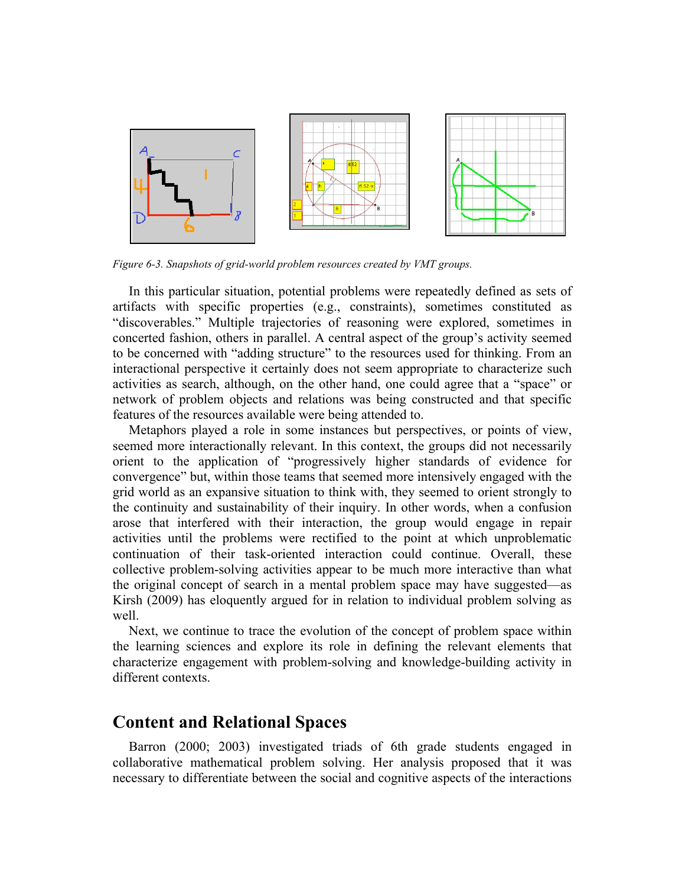

*Figure 6-3. Snapshots of grid-world problem resources created by VMT groups.*

In this particular situation, potential problems were repeatedly defined as sets of artifacts with specific properties (e.g., constraints), sometimes constituted as "discoverables." Multiple trajectories of reasoning were explored, sometimes in concerted fashion, others in parallel. A central aspect of the group's activity seemed to be concerned with "adding structure" to the resources used for thinking. From an interactional perspective it certainly does not seem appropriate to characterize such activities as search, although, on the other hand, one could agree that a "space" or network of problem objects and relations was being constructed and that specific features of the resources available were being attended to.

Metaphors played a role in some instances but perspectives, or points of view, seemed more interactionally relevant. In this context, the groups did not necessarily orient to the application of "progressively higher standards of evidence for convergence" but, within those teams that seemed more intensively engaged with the grid world as an expansive situation to think with, they seemed to orient strongly to the continuity and sustainability of their inquiry. In other words, when a confusion arose that interfered with their interaction, the group would engage in repair activities until the problems were rectified to the point at which unproblematic continuation of their task-oriented interaction could continue. Overall, these collective problem-solving activities appear to be much more interactive than what the original concept of search in a mental problem space may have suggested—as Kirsh (2009) has eloquently argued for in relation to individual problem solving as well.

Next, we continue to trace the evolution of the concept of problem space within the learning sciences and explore its role in defining the relevant elements that characterize engagement with problem-solving and knowledge-building activity in different contexts.

#### **Content and Relational Spaces**

Barron (2000; 2003) investigated triads of 6th grade students engaged in collaborative mathematical problem solving. Her analysis proposed that it was necessary to differentiate between the social and cognitive aspects of the interactions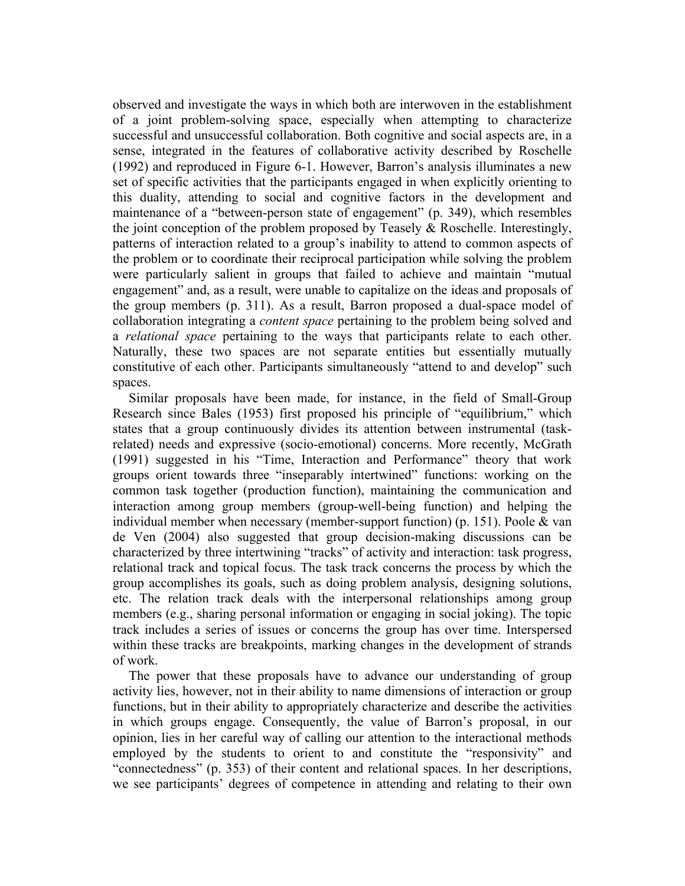observed and investigate the ways in which both are interwoven in the establishment of a joint problem-solving space, especially when attempting to characterize successful and unsuccessful collaboration. Both cognitive and social aspects are, in a sense, integrated in the features of collaborative activity described by Roschelle (1992) and reproduced in Figure 6-1. However, Barron's analysis illuminates a new set of specific activities that the participants engaged in when explicitly orienting to this duality, attending to social and cognitive factors in the development and maintenance of a "between-person state of engagement" (p. 349), which resembles the joint conception of the problem proposed by Teasely & Roschelle. Interestingly, patterns of interaction related to a group's inability to attend to common aspects of the problem or to coordinate their reciprocal participation while solving the problem were particularly salient in groups that failed to achieve and maintain "mutual engagement" and, as a result, were unable to capitalize on the ideas and proposals of the group members (p. 311). As a result, Barron proposed a dual-space model of collaboration integrating a *content space* pertaining to the problem being solved and a *relational space* pertaining to the ways that participants relate to each other. Naturally, these two spaces are not separate entities but essentially mutually constitutive of each other. Participants simultaneously "attend to and develop" such spaces.

Similar proposals have been made, for instance, in the field of Small-Group Research since Bales (1953) first proposed his principle of "equilibrium," which states that a group continuously divides its attention between instrumental (taskrelated) needs and expressive (socio-emotional) concerns. More recently, McGrath (1991) suggested in his "Time, Interaction and Performance" theory that work groups orient towards three "inseparably intertwined" functions: working on the common task together (production function), maintaining the communication and interaction among group members (group-well-being function) and helping the individual member when necessary (member-support function) (p. 151). Poole & van de Ven (2004) also suggested that group decision-making discussions can be characterized by three intertwining "tracks" of activity and interaction: task progress, relational track and topical focus. The task track concerns the process by which the group accomplishes its goals, such as doing problem analysis, designing solutions, etc. The relation track deals with the interpersonal relationships among group members (e.g., sharing personal information or engaging in social joking). The topic track includes a series of issues or concerns the group has over time. Interspersed within these tracks are breakpoints, marking changes in the development of strands of work.

The power that these proposals have to advance our understanding of group activity lies, however, not in their ability to name dimensions of interaction or group functions, but in their ability to appropriately characterize and describe the activities in which groups engage. Consequently, the value of Barron's proposal, in our opinion, lies in her careful way of calling our attention to the interactional methods employed by the students to orient to and constitute the "responsivity" and "connectedness" (p. 353) of their content and relational spaces. In her descriptions, we see participants' degrees of competence in attending and relating to their own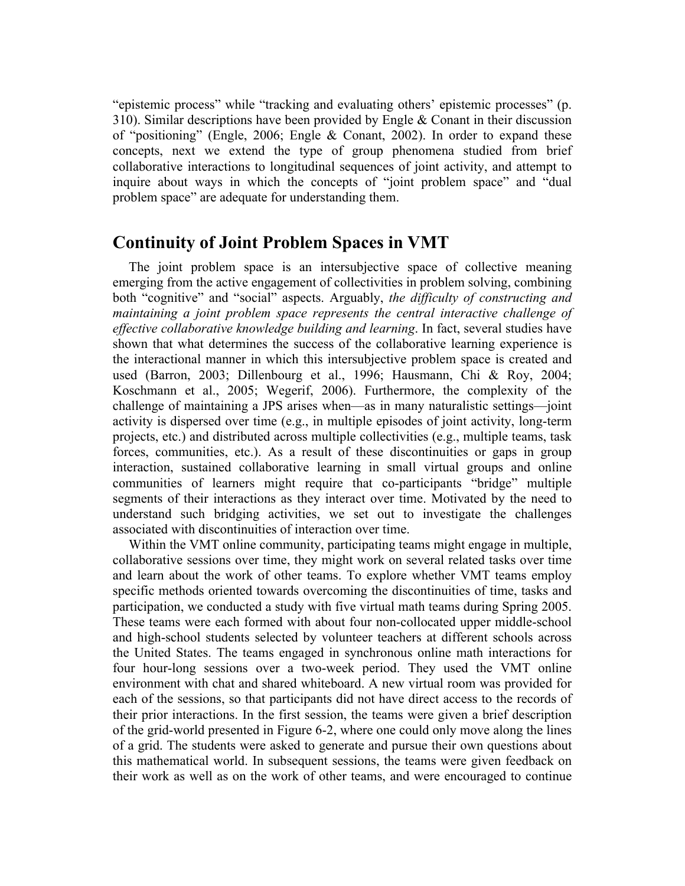"epistemic process" while "tracking and evaluating others' epistemic processes" (p. 310). Similar descriptions have been provided by Engle & Conant in their discussion of "positioning" (Engle, 2006; Engle & Conant, 2002). In order to expand these concepts, next we extend the type of group phenomena studied from brief collaborative interactions to longitudinal sequences of joint activity, and attempt to inquire about ways in which the concepts of "joint problem space" and "dual problem space" are adequate for understanding them.

#### **Continuity of Joint Problem Spaces in VMT**

The joint problem space is an intersubjective space of collective meaning emerging from the active engagement of collectivities in problem solving, combining both "cognitive" and "social" aspects. Arguably, *the difficulty of constructing and maintaining a joint problem space represents the central interactive challenge of effective collaborative knowledge building and learning*. In fact, several studies have shown that what determines the success of the collaborative learning experience is the interactional manner in which this intersubjective problem space is created and used (Barron, 2003; Dillenbourg et al., 1996; Hausmann, Chi & Roy, 2004; Koschmann et al., 2005; Wegerif, 2006). Furthermore, the complexity of the challenge of maintaining a JPS arises when—as in many naturalistic settings—joint activity is dispersed over time (e.g., in multiple episodes of joint activity, long-term projects, etc.) and distributed across multiple collectivities (e.g., multiple teams, task forces, communities, etc.). As a result of these discontinuities or gaps in group interaction, sustained collaborative learning in small virtual groups and online communities of learners might require that co-participants "bridge" multiple segments of their interactions as they interact over time. Motivated by the need to understand such bridging activities, we set out to investigate the challenges associated with discontinuities of interaction over time.

Within the VMT online community, participating teams might engage in multiple, collaborative sessions over time, they might work on several related tasks over time and learn about the work of other teams. To explore whether VMT teams employ specific methods oriented towards overcoming the discontinuities of time, tasks and participation, we conducted a study with five virtual math teams during Spring 2005. These teams were each formed with about four non-collocated upper middle-school and high-school students selected by volunteer teachers at different schools across the United States. The teams engaged in synchronous online math interactions for four hour-long sessions over a two-week period. They used the VMT online environment with chat and shared whiteboard. A new virtual room was provided for each of the sessions, so that participants did not have direct access to the records of their prior interactions. In the first session, the teams were given a brief description of the grid-world presented in Figure 6-2, where one could only move along the lines of a grid. The students were asked to generate and pursue their own questions about this mathematical world. In subsequent sessions, the teams were given feedback on their work as well as on the work of other teams, and were encouraged to continue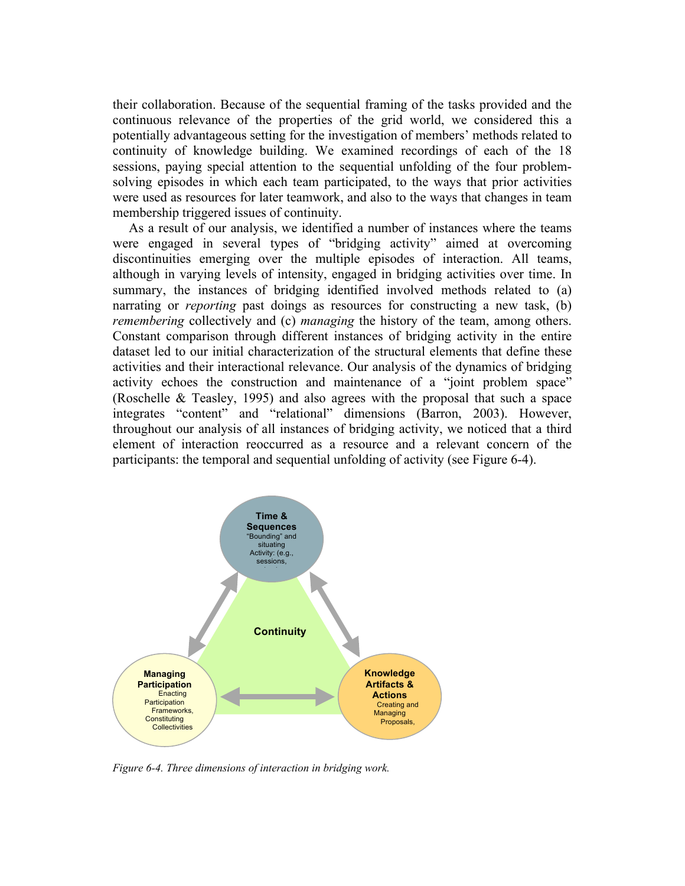their collaboration. Because of the sequential framing of the tasks provided and the continuous relevance of the properties of the grid world, we considered this a potentially advantageous setting for the investigation of members' methods related to continuity of knowledge building. We examined recordings of each of the 18 sessions, paying special attention to the sequential unfolding of the four problemsolving episodes in which each team participated, to the ways that prior activities were used as resources for later teamwork, and also to the ways that changes in team membership triggered issues of continuity.

As a result of our analysis, we identified a number of instances where the teams were engaged in several types of "bridging activity" aimed at overcoming discontinuities emerging over the multiple episodes of interaction. All teams, although in varying levels of intensity, engaged in bridging activities over time. In summary, the instances of bridging identified involved methods related to (a) narrating or *reporting* past doings as resources for constructing a new task, (b) *remembering* collectively and (c) *managing* the history of the team, among others. Constant comparison through different instances of bridging activity in the entire dataset led to our initial characterization of the structural elements that define these activities and their interactional relevance. Our analysis of the dynamics of bridging activity echoes the construction and maintenance of a "joint problem space" (Roschelle & Teasley, 1995) and also agrees with the proposal that such a space integrates "content" and "relational" dimensions (Barron, 2003). However, throughout our analysis of all instances of bridging activity, we noticed that a third element of interaction reoccurred as a resource and a relevant concern of the participants: the temporal and sequential unfolding of activity (see Figure 6-4).



Figure 6-4. Three dimensions of interaction in bridging work.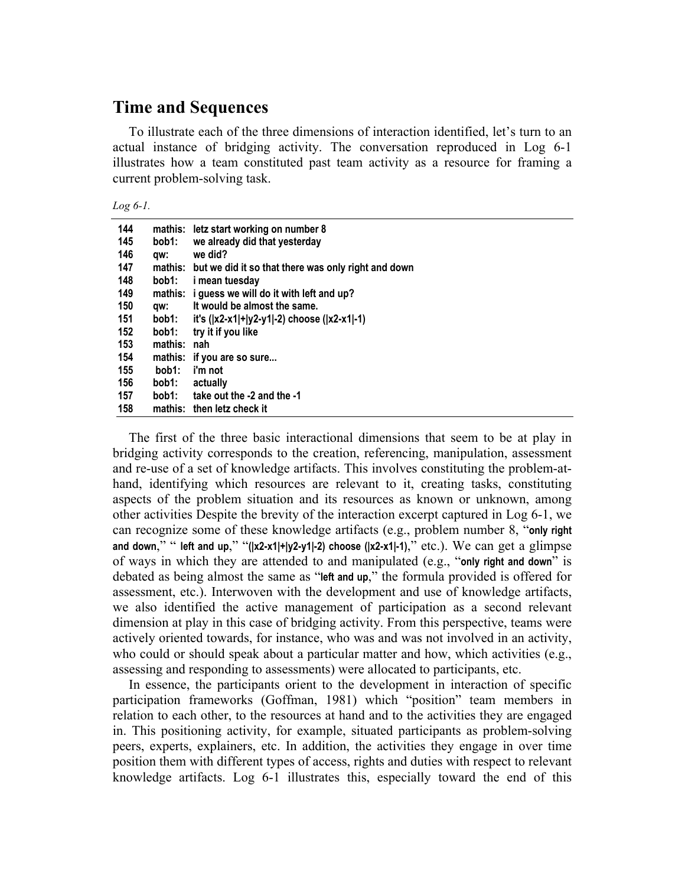#### **Time and Sequences**

To illustrate each of the three dimensions of interaction identified, let's turn to an actual instance of bridging activity. The conversation reproduced in Log 6-1 illustrates how a team constituted past team activity as a resource for framing a current problem-solving task.

|--|--|

| 144<br>145 | bob1:   | mathis: letz start working on number 8<br>we already did that yesterday |
|------------|---------|-------------------------------------------------------------------------|
| 146        | aw:     | we did?                                                                 |
| 147        |         | mathis: but we did it so that there was only right and down             |
| 148        | bob1:   | i mean tuesday                                                          |
| 149        |         | mathis: i quess we will do it with left and up?                         |
| 150        | qw:     | It would be almost the same.                                            |
| 151        | bob1:   | it's ( $ x2-x1 + y2-y1 -2$ ) choose ( $ x2-x1 -1$ )                     |
| 152        | bob1:   | try it if you like                                                      |
| 153        | mathis: | nah                                                                     |
| 154        |         | mathis: if you are so sure                                              |
| 155        | bob1:   | i'm not                                                                 |
| 156        | bob1:   | actually                                                                |
| 157        | bob1:   | take out the -2 and the -1                                              |
| 158        |         | mathis: then letz check it                                              |

The first of the three basic interactional dimensions that seem to be at play in bridging activity corresponds to the creation, referencing, manipulation, assessment and re-use of a set of knowledge artifacts. This involves constituting the problem-athand, identifying which resources are relevant to it, creating tasks, constituting aspects of the problem situation and its resources as known or unknown, among other activities Despite the brevity of the interaction excerpt captured in Log 6-1, we can recognize some of these knowledge artifacts (e.g., problem number 8, "**only right and down**," " **left and up**," "**(|x2-x1|+|y2-y1|-2) choose (|x2-x1|-1)**," etc.). We can get a glimpse of ways in which they are attended to and manipulated (e.g., "**only right and down**" is debated as being almost the same as "**left and up**," the formula provided is offered for assessment, etc.). Interwoven with the development and use of knowledge artifacts, we also identified the active management of participation as a second relevant dimension at play in this case of bridging activity. From this perspective, teams were actively oriented towards, for instance, who was and was not involved in an activity, who could or should speak about a particular matter and how, which activities (e.g., assessing and responding to assessments) were allocated to participants, etc.

In essence, the participants orient to the development in interaction of specific participation frameworks (Goffman, 1981) which "position" team members in relation to each other, to the resources at hand and to the activities they are engaged in. This positioning activity, for example, situated participants as problem-solving peers, experts, explainers, etc. In addition, the activities they engage in over time position them with different types of access, rights and duties with respect to relevant knowledge artifacts. Log 6-1 illustrates this, especially toward the end of this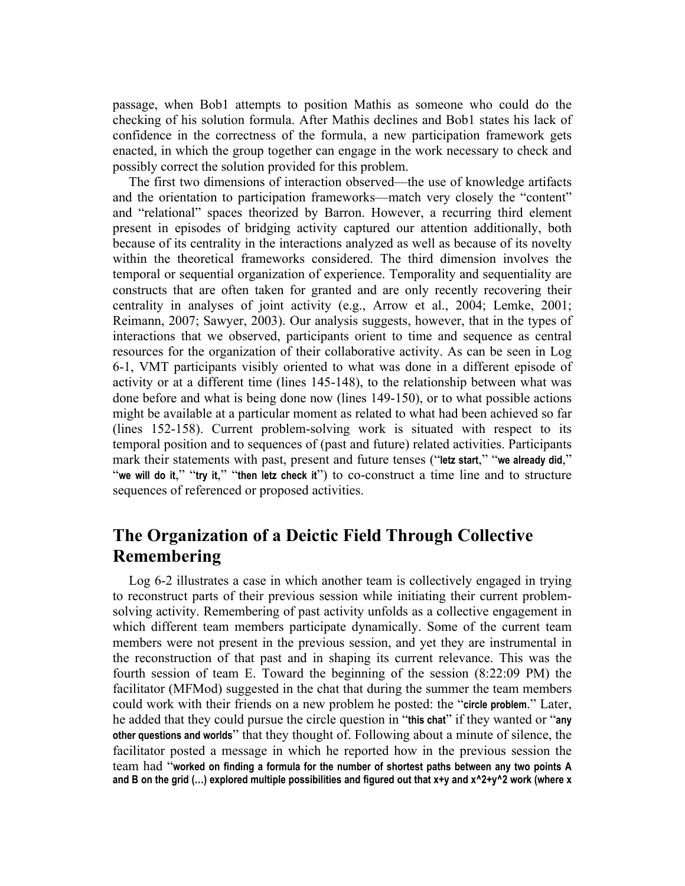passage, when Bob1 attempts to position Mathis as someone who could do the checking of his solution formula. After Mathis declines and Bob1 states his lack of confidence in the correctness of the formula, a new participation framework gets enacted, in which the group together can engage in the work necessary to check and possibly correct the solution provided for this problem.

The first two dimensions of interaction observed—the use of knowledge artifacts and the orientation to participation frameworks—match very closely the "content" and "relational" spaces theorized by Barron. However, a recurring third element present in episodes of bridging activity captured our attention additionally, both because of its centrality in the interactions analyzed as well as because of its novelty within the theoretical frameworks considered. The third dimension involves the temporal or sequential organization of experience. Temporality and sequentiality are constructs that are often taken for granted and are only recently recovering their centrality in analyses of joint activity (e.g., Arrow et al., 2004; Lemke, 2001; Reimann, 2007; Sawyer, 2003). Our analysis suggests, however, that in the types of interactions that we observed, participants orient to time and sequence as central resources for the organization of their collaborative activity. As can be seen in Log 6-1, VMT participants visibly oriented to what was done in a different episode of activity or at a different time (lines 145-148), to the relationship between what was done before and what is being done now (lines 149-150), or to what possible actions might be available at a particular moment as related to what had been achieved so far (lines 152-158). Current problem-solving work is situated with respect to its temporal position and to sequences of (past and future) related activities. Participants mark their statements with past, present and future tenses ("**letz start**," "**we already did**," "**we will do it**," "**try it**," "**then letz check it**") to co-construct a time line and to structure sequences of referenced or proposed activities.

### **The Organization of a Deictic Field Through Collective Remembering**

Log 6-2 illustrates a case in which another team is collectively engaged in trying to reconstruct parts of their previous session while initiating their current problemsolving activity. Remembering of past activity unfolds as a collective engagement in which different team members participate dynamically. Some of the current team members were not present in the previous session, and yet they are instrumental in the reconstruction of that past and in shaping its current relevance. This was the fourth session of team E. Toward the beginning of the session (8:22:09 PM) the facilitator (MFMod) suggested in the chat that during the summer the team members could work with their friends on a new problem he posted: the "**circle problem**." Later, he added that they could pursue the circle question in "**this chat**" if they wanted or "**any other questions and worlds**" that they thought of. Following about a minute of silence, the facilitator posted a message in which he reported how in the previous session the team had "**worked on finding a formula for the number of shortest paths between any two points A and B on the grid (…) explored multiple possibilities and figured out that x+y and x^2+y^2 work (where x**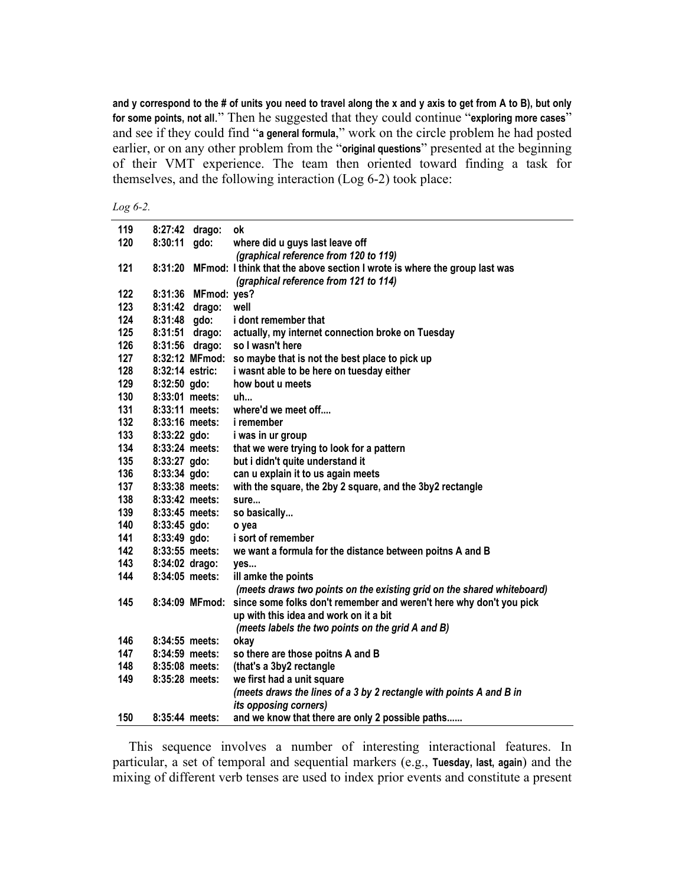**and y correspond to the # of units you need to travel along the x and y axis to get from A to B), but only for some points, not all**." Then he suggested that they could continue "**exploring more cases**" and see if they could find "**a general formula**," work on the circle problem he had posted earlier, or on any other problem from the "**original questions**" presented at the beginning of their VMT experience. The team then oriented toward finding a task for themselves, and the following interaction (Log 6-2) took place:

| г.<br>,, |  |
|----------|--|
|----------|--|

| 119 | 8:27:42 drago:  |                     | ok                                                                                |
|-----|-----------------|---------------------|-----------------------------------------------------------------------------------|
| 120 | 8:30:11 gdo:    |                     | where did u guys last leave off                                                   |
|     |                 |                     | (graphical reference from 120 to 119)                                             |
| 121 |                 |                     | 8:31:20 MFmod: I think that the above section I wrote is where the group last was |
|     |                 |                     | (graphical reference from 121 to 114)                                             |
| 122 |                 | 8:31:36 MFmod: yes? |                                                                                   |
| 123 |                 | 8:31:42 drago:      | well                                                                              |
| 124 | 8:31:48 gdo:    |                     | i dont remember that                                                              |
| 125 |                 | 8:31:51 drago:      | actually, my internet connection broke on Tuesday                                 |
| 126 |                 | 8:31:56 drago:      | so I wasn't here                                                                  |
| 127 |                 | 8:32:12 MFmod:      | so maybe that is not the best place to pick up                                    |
| 128 | 8:32:14 estric: |                     | i wasnt able to be here on tuesday either                                         |
| 129 | $8:32:50$ gdo:  |                     | how bout u meets                                                                  |
| 130 | 8:33:01 meets:  |                     | <u>uh</u>                                                                         |
| 131 | 8:33:11 meets:  |                     | where'd we meet off                                                               |
| 132 | 8:33:16 meets:  |                     | i remember                                                                        |
| 133 | 8:33:22 gdo:    |                     | i was in ur group                                                                 |
| 134 | 8:33:24 meets:  |                     | that we were trying to look for a pattern                                         |
| 135 | 8:33:27 gdo:    |                     | but i didn't quite understand it                                                  |
| 136 | 8:33:34 gdo:    |                     | can u explain it to us again meets                                                |
| 137 | 8:33:38 meets:  |                     | with the square, the 2by 2 square, and the 3by2 rectangle                         |
| 138 | 8:33:42 meets:  |                     | sure                                                                              |
| 139 | 8:33:45 meets:  |                     | so basically                                                                      |
| 140 | $8:33:45$ gdo:  |                     | o yea                                                                             |
| 141 | 8:33:49 gdo:    |                     | i sort of remember                                                                |
| 142 | 8:33:55 meets:  |                     | we want a formula for the distance between poitns A and B                         |
| 143 | 8:34:02 drago:  |                     | yes                                                                               |
| 144 | 8:34:05 meets:  |                     | ill amke the points                                                               |
|     |                 |                     | (meets draws two points on the existing grid on the shared whiteboard)            |
| 145 |                 | 8:34:09 MFmod:      | since some folks don't remember and weren't here why don't you pick               |
|     |                 |                     | up with this idea and work on it a bit                                            |
|     |                 |                     | (meets labels the two points on the grid A and B)                                 |
| 146 | 8:34:55 meets:  |                     | okay                                                                              |
| 147 | 8:34:59 meets:  |                     | so there are those poitns A and B                                                 |
| 148 | 8:35:08 meets:  |                     | (that's a 3by2 rectangle                                                          |
| 149 | 8:35:28 meets:  |                     | we first had a unit square                                                        |
|     |                 |                     | (meets draws the lines of a 3 by 2 rectangle with points A and B in               |
|     |                 |                     | its opposing corners)                                                             |
| 150 | 8:35:44 meets:  |                     | and we know that there are only 2 possible paths                                  |

This sequence involves a number of interesting interactional features. In particular, a set of temporal and sequential markers (e.g., **Tuesday, last, again**) and the mixing of different verb tenses are used to index prior events and constitute a present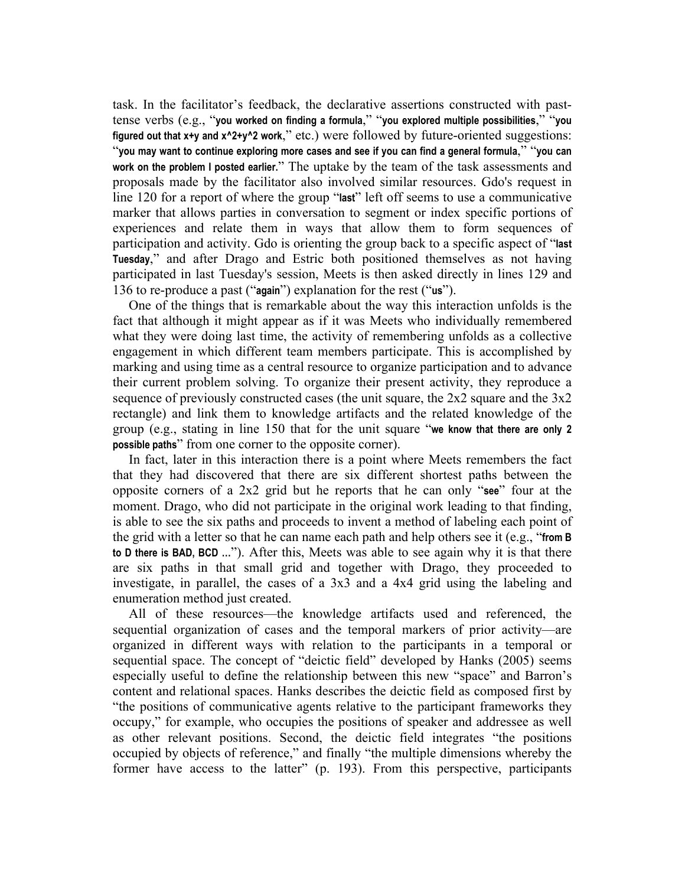task. In the facilitator's feedback, the declarative assertions constructed with pasttense verbs (e.g., "**you worked on finding a formula**," "**you explored multiple possibilities**," "**you figured out that x+y and x^2+y^2 work**," etc.) were followed by future-oriented suggestions: "**you may want to continue exploring more cases and see if you can find a general formula**," "**you can work on the problem I posted earlier.**" The uptake by the team of the task assessments and proposals made by the facilitator also involved similar resources. Gdo's request in line 120 for a report of where the group "**last**" left off seems to use a communicative marker that allows parties in conversation to segment or index specific portions of experiences and relate them in ways that allow them to form sequences of participation and activity. Gdo is orienting the group back to a specific aspect of "**last Tuesday**," and after Drago and Estric both positioned themselves as not having participated in last Tuesday's session, Meets is then asked directly in lines 129 and 136 to re-produce a past ("**again**") explanation for the rest ("**us**").

One of the things that is remarkable about the way this interaction unfolds is the fact that although it might appear as if it was Meets who individually remembered what they were doing last time, the activity of remembering unfolds as a collective engagement in which different team members participate. This is accomplished by marking and using time as a central resource to organize participation and to advance their current problem solving. To organize their present activity, they reproduce a sequence of previously constructed cases (the unit square, the 2x2 square and the 3x2 rectangle) and link them to knowledge artifacts and the related knowledge of the group (e.g., stating in line 150 that for the unit square "**we know that there are only 2 possible paths**" from one corner to the opposite corner).

In fact, later in this interaction there is a point where Meets remembers the fact that they had discovered that there are six different shortest paths between the opposite corners of a 2x2 grid but he reports that he can only "**see**" four at the moment. Drago, who did not participate in the original work leading to that finding, is able to see the six paths and proceeds to invent a method of labeling each point of the grid with a letter so that he can name each path and help others see it (e.g., "**from B to D there is BAD, BCD …**"). After this, Meets was able to see again why it is that there are six paths in that small grid and together with Drago, they proceeded to investigate, in parallel, the cases of a 3x3 and a 4x4 grid using the labeling and enumeration method just created.

All of these resources—the knowledge artifacts used and referenced, the sequential organization of cases and the temporal markers of prior activity—are organized in different ways with relation to the participants in a temporal or sequential space. The concept of "deictic field" developed by Hanks (2005) seems especially useful to define the relationship between this new "space" and Barron's content and relational spaces. Hanks describes the deictic field as composed first by "the positions of communicative agents relative to the participant frameworks they occupy," for example, who occupies the positions of speaker and addressee as well as other relevant positions. Second, the deictic field integrates "the positions occupied by objects of reference," and finally "the multiple dimensions whereby the former have access to the latter" (p. 193). From this perspective, participants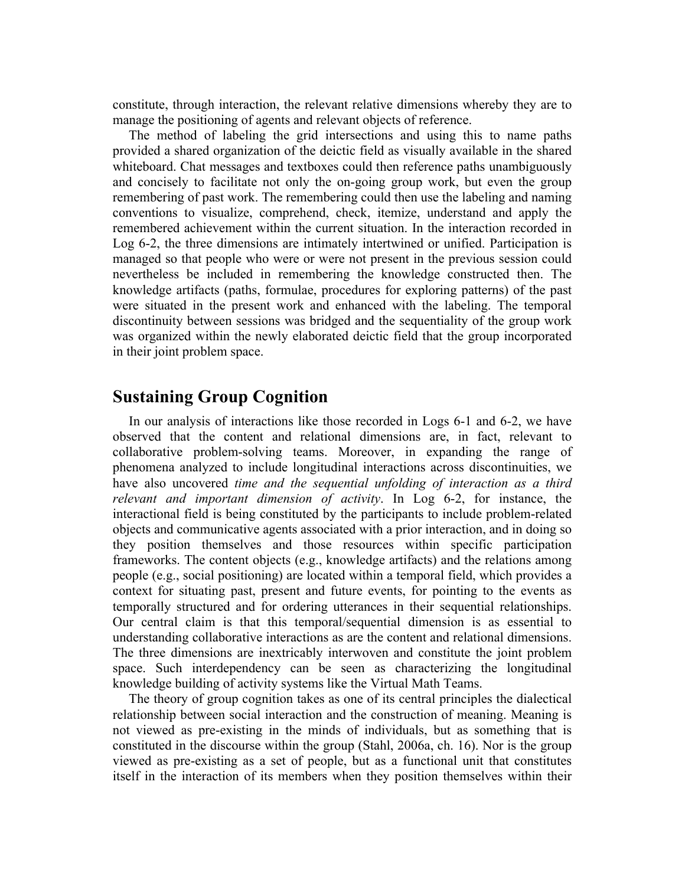constitute, through interaction, the relevant relative dimensions whereby they are to manage the positioning of agents and relevant objects of reference.

The method of labeling the grid intersections and using this to name paths provided a shared organization of the deictic field as visually available in the shared whiteboard. Chat messages and textboxes could then reference paths unambiguously and concisely to facilitate not only the on-going group work, but even the group remembering of past work. The remembering could then use the labeling and naming conventions to visualize, comprehend, check, itemize, understand and apply the remembered achievement within the current situation. In the interaction recorded in Log 6-2, the three dimensions are intimately intertwined or unified. Participation is managed so that people who were or were not present in the previous session could nevertheless be included in remembering the knowledge constructed then. The knowledge artifacts (paths, formulae, procedures for exploring patterns) of the past were situated in the present work and enhanced with the labeling. The temporal discontinuity between sessions was bridged and the sequentiality of the group work was organized within the newly elaborated deictic field that the group incorporated in their joint problem space.

#### **Sustaining Group Cognition**

In our analysis of interactions like those recorded in Logs 6-1 and 6-2, we have observed that the content and relational dimensions are, in fact, relevant to collaborative problem-solving teams. Moreover, in expanding the range of phenomena analyzed to include longitudinal interactions across discontinuities, we have also uncovered *time and the sequential unfolding of interaction as a third relevant and important dimension of activity*. In Log 6-2, for instance, the interactional field is being constituted by the participants to include problem-related objects and communicative agents associated with a prior interaction, and in doing so they position themselves and those resources within specific participation frameworks. The content objects (e.g., knowledge artifacts) and the relations among people (e.g., social positioning) are located within a temporal field, which provides a context for situating past, present and future events, for pointing to the events as temporally structured and for ordering utterances in their sequential relationships. Our central claim is that this temporal/sequential dimension is as essential to understanding collaborative interactions as are the content and relational dimensions. The three dimensions are inextricably interwoven and constitute the joint problem space. Such interdependency can be seen as characterizing the longitudinal knowledge building of activity systems like the Virtual Math Teams.

The theory of group cognition takes as one of its central principles the dialectical relationship between social interaction and the construction of meaning. Meaning is not viewed as pre-existing in the minds of individuals, but as something that is constituted in the discourse within the group (Stahl, 2006a, ch. 16). Nor is the group viewed as pre-existing as a set of people, but as a functional unit that constitutes itself in the interaction of its members when they position themselves within their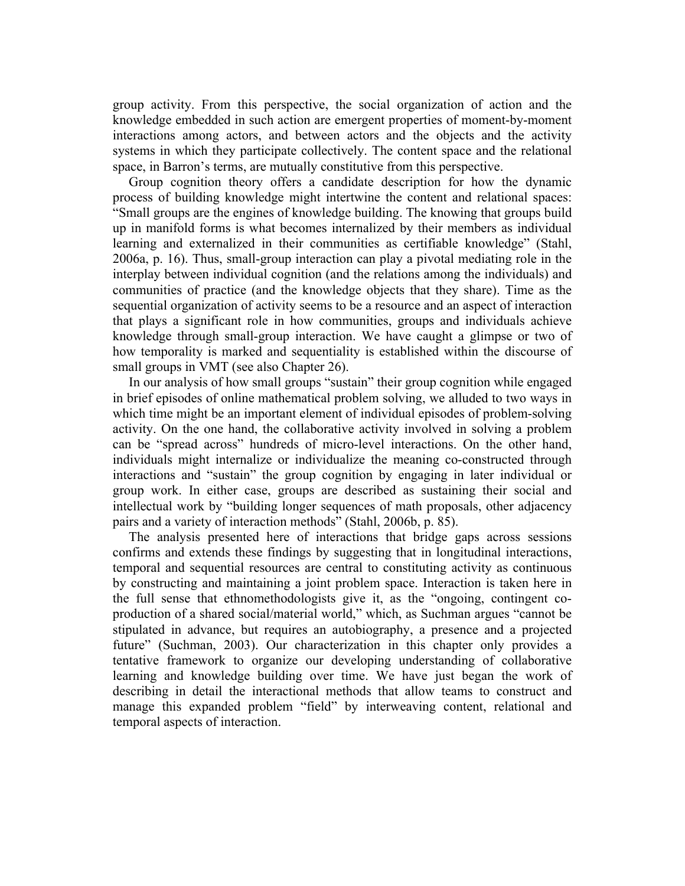group activity. From this perspective, the social organization of action and the knowledge embedded in such action are emergent properties of moment-by-moment interactions among actors, and between actors and the objects and the activity systems in which they participate collectively. The content space and the relational space, in Barron's terms, are mutually constitutive from this perspective.

Group cognition theory offers a candidate description for how the dynamic process of building knowledge might intertwine the content and relational spaces: "Small groups are the engines of knowledge building. The knowing that groups build up in manifold forms is what becomes internalized by their members as individual learning and externalized in their communities as certifiable knowledge" (Stahl, 2006a, p. 16). Thus, small-group interaction can play a pivotal mediating role in the interplay between individual cognition (and the relations among the individuals) and communities of practice (and the knowledge objects that they share). Time as the sequential organization of activity seems to be a resource and an aspect of interaction that plays a significant role in how communities, groups and individuals achieve knowledge through small-group interaction. We have caught a glimpse or two of how temporality is marked and sequentiality is established within the discourse of small groups in VMT (see also Chapter 26).

In our analysis of how small groups "sustain" their group cognition while engaged in brief episodes of online mathematical problem solving, we alluded to two ways in which time might be an important element of individual episodes of problem-solving activity. On the one hand, the collaborative activity involved in solving a problem can be "spread across" hundreds of micro-level interactions. On the other hand, individuals might internalize or individualize the meaning co-constructed through interactions and "sustain" the group cognition by engaging in later individual or group work. In either case, groups are described as sustaining their social and intellectual work by "building longer sequences of math proposals, other adjacency pairs and a variety of interaction methods" (Stahl, 2006b, p. 85).

The analysis presented here of interactions that bridge gaps across sessions confirms and extends these findings by suggesting that in longitudinal interactions, temporal and sequential resources are central to constituting activity as continuous by constructing and maintaining a joint problem space. Interaction is taken here in the full sense that ethnomethodologists give it, as the "ongoing, contingent coproduction of a shared social/material world," which, as Suchman argues "cannot be stipulated in advance, but requires an autobiography, a presence and a projected future" (Suchman, 2003). Our characterization in this chapter only provides a tentative framework to organize our developing understanding of collaborative learning and knowledge building over time. We have just began the work of describing in detail the interactional methods that allow teams to construct and manage this expanded problem "field" by interweaving content, relational and temporal aspects of interaction.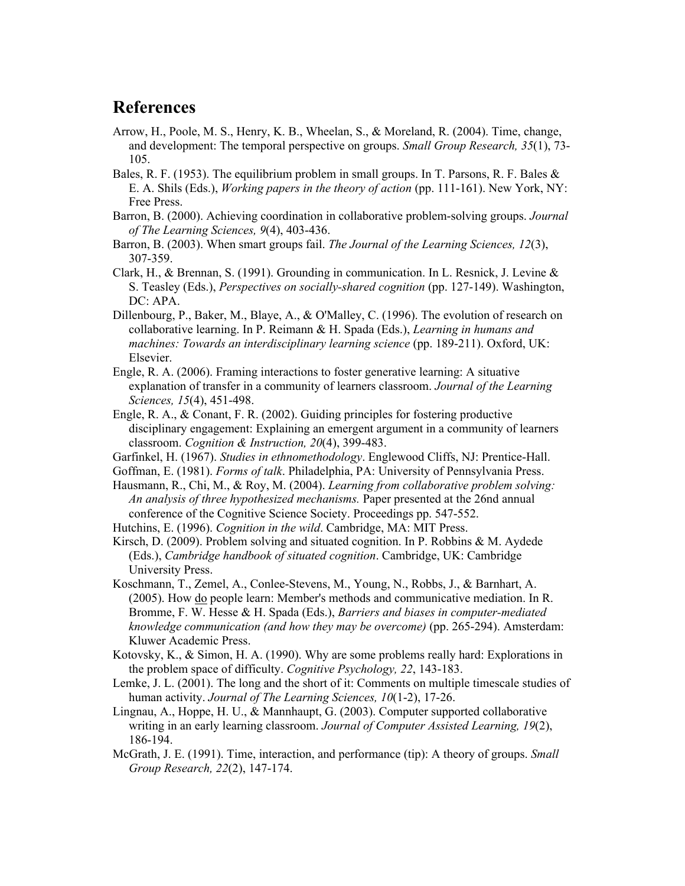### **References**

- Arrow, H., Poole, M. S., Henry, K. B., Wheelan, S., & Moreland, R. (2004). Time, change, and development: The temporal perspective on groups. *Small Group Research, 35*(1), 73- 105.
- Bales, R. F. (1953). The equilibrium problem in small groups. In T. Parsons, R. F. Bales  $\&$ E. A. Shils (Eds.), *Working papers in the theory of action* (pp. 111-161). New York, NY: Free Press.
- Barron, B. (2000). Achieving coordination in collaborative problem-solving groups. *Journal of The Learning Sciences, 9*(4), 403-436.
- Barron, B. (2003). When smart groups fail. *The Journal of the Learning Sciences, 12*(3), 307-359.
- Clark, H., & Brennan, S. (1991). Grounding in communication. In L. Resnick, J. Levine & S. Teasley (Eds.), *Perspectives on socially-shared cognition* (pp. 127-149). Washington, DC: APA.
- Dillenbourg, P., Baker, M., Blaye, A., & O'Malley, C. (1996). The evolution of research on collaborative learning. In P. Reimann & H. Spada (Eds.), *Learning in humans and machines: Towards an interdisciplinary learning science* (pp. 189-211). Oxford, UK: Elsevier.
- Engle, R. A. (2006). Framing interactions to foster generative learning: A situative explanation of transfer in a community of learners classroom. *Journal of the Learning Sciences, 15*(4), 451-498.
- Engle, R. A., & Conant, F. R. (2002). Guiding principles for fostering productive disciplinary engagement: Explaining an emergent argument in a community of learners classroom. *Cognition & Instruction, 20*(4), 399-483.
- Garfinkel, H. (1967). *Studies in ethnomethodology*. Englewood Cliffs, NJ: Prentice-Hall.
- Goffman, E. (1981). *Forms of talk*. Philadelphia, PA: University of Pennsylvania Press.
- Hausmann, R., Chi, M., & Roy, M. (2004). *Learning from collaborative problem solving: An analysis of three hypothesized mechanisms.* Paper presented at the 26nd annual conference of the Cognitive Science Society. Proceedings pp. 547-552.

Hutchins, E. (1996). *Cognition in the wild*. Cambridge, MA: MIT Press.

- Kirsch, D. (2009). Problem solving and situated cognition. In P. Robbins & M. Aydede (Eds.), *Cambridge handbook of situated cognition*. Cambridge, UK: Cambridge University Press.
- Koschmann, T., Zemel, A., Conlee-Stevens, M., Young, N., Robbs, J., & Barnhart, A. (2005). How do people learn: Member's methods and communicative mediation. In R. Bromme, F. W. Hesse & H. Spada (Eds.), *Barriers and biases in computer-mediated knowledge communication (and how they may be overcome)* (pp. 265-294). Amsterdam: Kluwer Academic Press.
- Kotovsky, K., & Simon, H. A. (1990). Why are some problems really hard: Explorations in the problem space of difficulty. *Cognitive Psychology, 22*, 143-183.
- Lemke, J. L. (2001). The long and the short of it: Comments on multiple timescale studies of human activity. *Journal of The Learning Sciences, 10*(1-2), 17-26.
- Lingnau, A., Hoppe, H. U., & Mannhaupt, G. (2003). Computer supported collaborative writing in an early learning classroom. *Journal of Computer Assisted Learning, 19*(2), 186-194.
- McGrath, J. E. (1991). Time, interaction, and performance (tip): A theory of groups. *Small Group Research, 22*(2), 147-174.